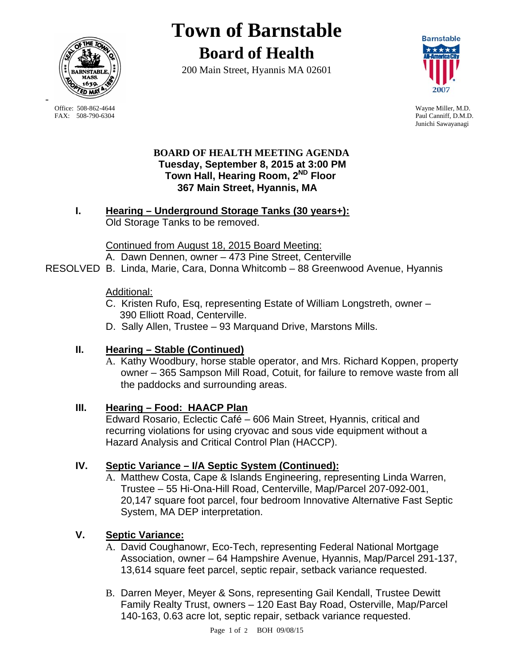

**Town of Barnstable Board of Health**

200 Main Street, Hyannis MA 02601



Office: 508-862-4644 Wayne Miller, M.D.<br>
FAX: 508-790-6304 Paul Canniff. D.M.D Paul Canniff, D.M.D. Junichi Sawayanagi

#### **BOARD OF HEALTH MEETING AGENDA Tuesday, September 8, 2015 at 3:00 PM Town Hall, Hearing Room, 2ND Floor 367 Main Street, Hyannis, MA**

**I. Hearing – Underground Storage Tanks (30 years+):**  Old Storage Tanks to be removed.

Continued from August 18, 2015 Board Meeting:

A. Dawn Dennen, owner – 473 Pine Street, Centerville

RESOLVED B. Linda, Marie, Cara, Donna Whitcomb – 88 Greenwood Avenue, Hyannis

## Additional:

- C. Kristen Rufo, Esq, representing Estate of William Longstreth, owner 390 Elliott Road, Centerville.
- D. Sally Allen, Trustee 93 Marquand Drive, Marstons Mills.

# **II. Hearing – Stable (Continued)**

A. Kathy Woodbury, horse stable operator, and Mrs. Richard Koppen, property owner – 365 Sampson Mill Road, Cotuit, for failure to remove waste from all the paddocks and surrounding areas.

## **III. Hearing – Food: HAACP Plan**

Edward Rosario, Eclectic Café – 606 Main Street, Hyannis, critical and recurring violations for using cryovac and sous vide equipment without a Hazard Analysis and Critical Control Plan (HACCP).

# **IV. Septic Variance – I/A Septic System (Continued):**

A. Matthew Costa, Cape & Islands Engineering, representing Linda Warren, Trustee – 55 Hi-Ona-Hill Road, Centerville, Map/Parcel 207-092-001, 20,147 square foot parcel, four bedroom Innovative Alternative Fast Septic System, MA DEP interpretation.

# **V. Septic Variance:**

- A. David Coughanowr, Eco-Tech, representing Federal National Mortgage Association, owner – 64 Hampshire Avenue, Hyannis, Map/Parcel 291-137, 13,614 square feet parcel, septic repair, setback variance requested.
- B. Darren Meyer, Meyer & Sons, representing Gail Kendall, Trustee Dewitt Family Realty Trust, owners – 120 East Bay Road, Osterville, Map/Parcel 140-163, 0.63 acre lot, septic repair, setback variance requested.

-